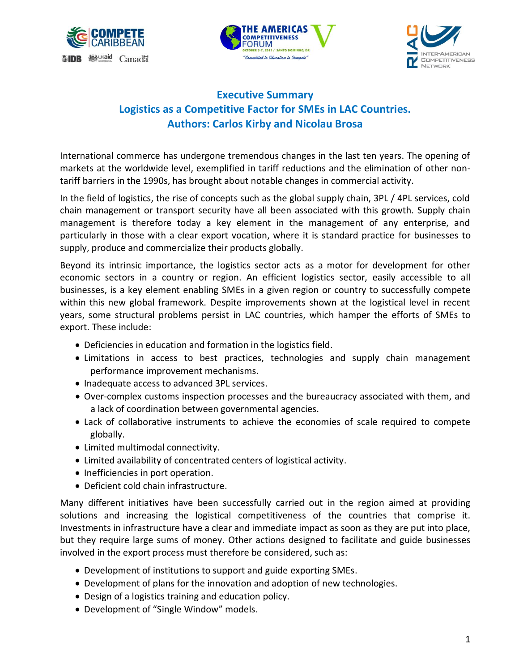





## **Executive Summary Logistics as a Competitive Factor for SMEs in LAC Countries. Authors: Carlos Kirby and Nicolau Brosa**

International commerce has undergone tremendous changes in the last ten years. The opening of markets at the worldwide level, exemplified in tariff reductions and the elimination of other nontariff barriers in the 1990s, has brought about notable changes in commercial activity.

In the field of logistics, the rise of concepts such as the global supply chain, 3PL / 4PL services, cold chain management or transport security have all been associated with this growth. Supply chain management is therefore today a key element in the management of any enterprise, and particularly in those with a clear export vocation, where it is standard practice for businesses to supply, produce and commercialize their products globally.

Beyond its intrinsic importance, the logistics sector acts as a motor for development for other economic sectors in a country or region. An efficient logistics sector, easily accessible to all businesses, is a key element enabling SMEs in a given region or country to successfully compete within this new global framework. Despite improvements shown at the logistical level in recent years, some structural problems persist in LAC countries, which hamper the efforts of SMEs to export. These include:

- Deficiencies in education and formation in the logistics field.
- Limitations in access to best practices, technologies and supply chain management performance improvement mechanisms.
- Inadequate access to advanced 3PL services.
- Over-complex customs inspection processes and the bureaucracy associated with them, and a lack of coordination between governmental agencies.
- Lack of collaborative instruments to achieve the economies of scale required to compete globally.
- Limited multimodal connectivity.
- Limited availability of concentrated centers of logistical activity.
- Inefficiencies in port operation.
- Deficient cold chain infrastructure.

Many different initiatives have been successfully carried out in the region aimed at providing solutions and increasing the logistical competitiveness of the countries that comprise it. Investments in infrastructure have a clear and immediate impact as soon as they are put into place, but they require large sums of money. Other actions designed to facilitate and guide businesses involved in the export process must therefore be considered, such as:

- Development of institutions to support and guide exporting SMEs.
- Development of plans for the innovation and adoption of new technologies.
- Design of a logistics training and education policy.
- Development of "Single Window" models.